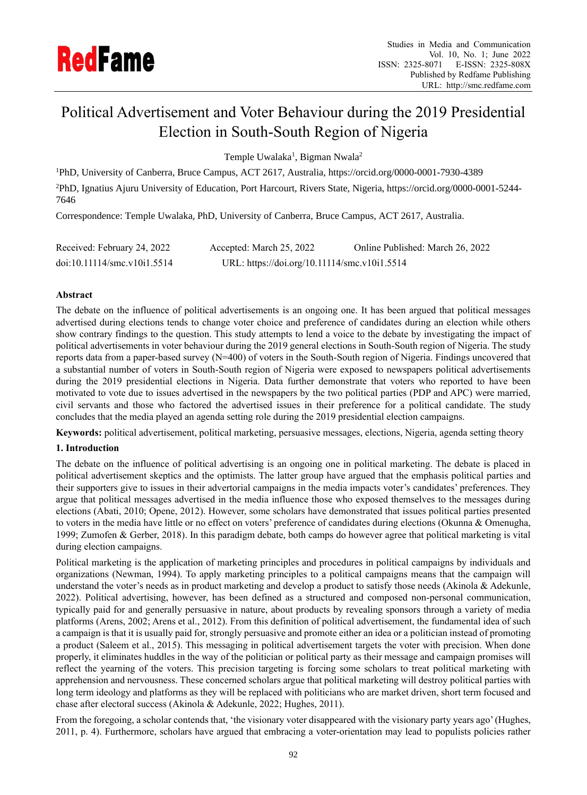

# Political Advertisement and Voter Behaviour during the 2019 Presidential Election in South-South Region of Nigeria

Temple Uwalaka<sup>1</sup>, Bigman Nwala<sup>2</sup>

<sup>1</sup>PhD, University of Canberra, Bruce Campus, ACT 2617, Australia, https://orcid.org/0000-0001-7930-4389

<sup>2</sup>PhD, Ignatius Ajuru University of Education, Port Harcourt, Rivers State, Nigeria, https://orcid.org/0000-0001-5244- 7646

Correspondence: Temple Uwalaka, PhD, University of Canberra, Bruce Campus, ACT 2617, Australia.

| Received: February 24, 2022 | Accepted: March 25, 2022                     | Online Published: March 26, 2022 |
|-----------------------------|----------------------------------------------|----------------------------------|
| doi:10.11114/smc.v10i1.5514 | URL: https://doi.org/10.11114/smc.v10i1.5514 |                                  |

# **Abstract**

The debate on the influence of political advertisements is an ongoing one. It has been argued that political messages advertised during elections tends to change voter choice and preference of candidates during an election while others show contrary findings to the question. This study attempts to lend a voice to the debate by investigating the impact of political advertisements in voter behaviour during the 2019 general elections in South-South region of Nigeria. The study reports data from a paper-based survey (N=400) of voters in the South-South region of Nigeria. Findings uncovered that a substantial number of voters in South-South region of Nigeria were exposed to newspapers political advertisements during the 2019 presidential elections in Nigeria. Data further demonstrate that voters who reported to have been motivated to vote due to issues advertised in the newspapers by the two political parties (PDP and APC) were married, civil servants and those who factored the advertised issues in their preference for a political candidate. The study concludes that the media played an agenda setting role during the 2019 presidential election campaigns.

**Keywords:** political advertisement, political marketing, persuasive messages, elections, Nigeria, agenda setting theory

## **1. Introduction**

The debate on the influence of political advertising is an ongoing one in political marketing. The debate is placed in political advertisement skeptics and the optimists. The latter group have argued that the emphasis political parties and their supporters give to issues in their advertorial campaigns in the media impacts voter's candidates' preferences. They argue that political messages advertised in the media influence those who exposed themselves to the messages during elections (Abati, 2010; Opene, 2012). However, some scholars have demonstrated that issues political parties presented to voters in the media have little or no effect on voters' preference of candidates during elections (Okunna & Omenugha, 1999; Zumofen & Gerber, 2018). In this paradigm debate, both camps do however agree that political marketing is vital during election campaigns.

Political marketing is the application of marketing principles and procedures in political campaigns by individuals and organizations (Newman, 1994). To apply marketing principles to a political campaigns means that the campaign will understand the voter's needs as in product marketing and develop a product to satisfy those needs (Akinola & Adekunle, 2022). Political advertising, however, has been defined as a structured and composed non-personal communication, typically paid for and generally persuasive in nature, about products by revealing sponsors through a variety of media platforms (Arens, 2002; Arens et al., 2012). From this definition of political advertisement, the fundamental idea of such a campaign is that it is usually paid for, strongly persuasive and promote either an idea or a politician instead of promoting a product (Saleem et al., 2015). This messaging in political advertisement targets the voter with precision. When done properly, it eliminates huddles in the way of the politician or political party as their message and campaign promises will reflect the yearning of the voters. This precision targeting is forcing some scholars to treat political marketing with apprehension and nervousness. These concerned scholars argue that political marketing will destroy political parties with long term ideology and platforms as they will be replaced with politicians who are market driven, short term focused and chase after electoral success (Akinola & Adekunle, 2022; Hughes, 2011).

From the foregoing, a scholar contends that, 'the visionary voter disappeared with the visionary party years ago' (Hughes, 2011, p. 4). Furthermore, scholars have argued that embracing a voter-orientation may lead to populists policies rather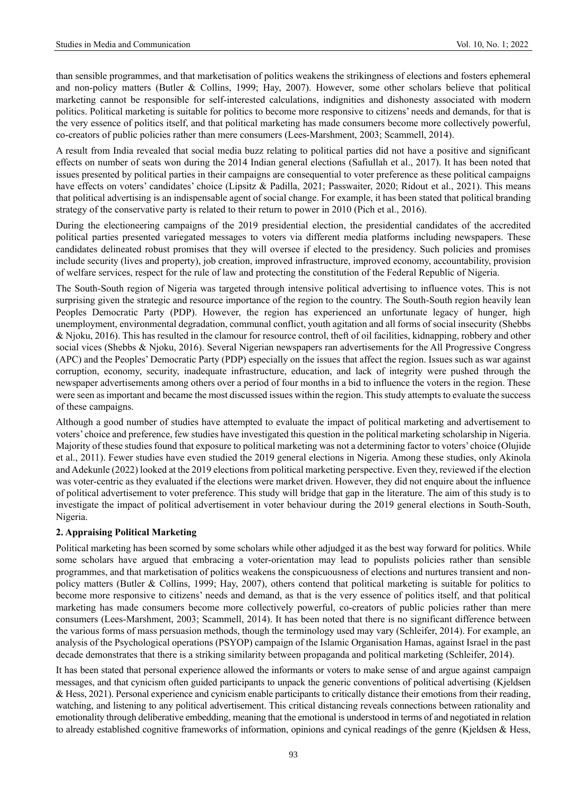than sensible programmes, and that marketisation of politics weakens the strikingness of elections and fosters ephemeral and non-policy matters (Butler & Collins, 1999; Hay, 2007). However, some other scholars believe that political marketing cannot be responsible for self-interested calculations, indignities and dishonesty associated with modern politics. Political marketing is suitable for politics to become more responsive to citizens' needs and demands, for that is the very essence of politics itself, and that political marketing has made consumers become more collectively powerful, co-creators of public policies rather than mere consumers (Lees-Marshment, 2003; Scammell, 2014).

A result from India revealed that social media buzz relating to political parties did not have a positive and significant effects on number of seats won during the 2014 Indian general elections (Safiullah et al., 2017). It has been noted that issues presented by political parties in their campaigns are consequential to voter preference as these political campaigns have effects on voters' candidates' choice (Lipsitz & Padilla, 2021; Passwaiter, 2020; Ridout et al., 2021). This means that political advertising is an indispensable agent of social change. For example, it has been stated that political branding strategy of the conservative party is related to their return to power in 2010 (Pich et al., 2016).

During the electioneering campaigns of the 2019 presidential election, the presidential candidates of the accredited political parties presented variegated messages to voters via different media platforms including newspapers. These candidates delineated robust promises that they will oversee if elected to the presidency. Such policies and promises include security (lives and property), job creation, improved infrastructure, improved economy, accountability, provision of welfare services, respect for the rule of law and protecting the constitution of the Federal Republic of Nigeria.

The South-South region of Nigeria was targeted through intensive political advertising to influence votes. This is not surprising given the strategic and resource importance of the region to the country. The South-South region heavily lean Peoples Democratic Party (PDP). However, the region has experienced an unfortunate legacy of hunger, high unemployment, environmental degradation, communal conflict, youth agitation and all forms of social insecurity (Shebbs & Njoku, 2016). This has resulted in the clamour for resource control, theft of oil facilities, kidnapping, robbery and other social vices (Shebbs & Njoku, 2016). Several Nigerian newspapers ran advertisements for the All Progressive Congress (APC) and the Peoples' Democratic Party (PDP) especially on the issues that affect the region. Issues such as war against corruption, economy, security, inadequate infrastructure, education, and lack of integrity were pushed through the newspaper advertisements among others over a period of four months in a bid to influence the voters in the region. These were seen as important and became the most discussed issues within the region. This study attempts to evaluate the success of these campaigns.

Although a good number of studies have attempted to evaluate the impact of political marketing and advertisement to voters' choice and preference, few studies have investigated this question in the political marketing scholarship in Nigeria. Majority of these studies found that exposure to political marketing was not a determining factor to voters' choice (Olujide et al., 2011). Fewer studies have even studied the 2019 general elections in Nigeria. Among these studies, only Akinola and Adekunle (2022) looked at the 2019 elections from political marketing perspective. Even they, reviewed if the election was voter-centric as they evaluated if the elections were market driven. However, they did not enquire about the influence of political advertisement to voter preference. This study will bridge that gap in the literature. The aim of this study is to investigate the impact of political advertisement in voter behaviour during the 2019 general elections in South-South, Nigeria.

## **2. Appraising Political Marketing**

Political marketing has been scorned by some scholars while other adjudged it as the best way forward for politics. While some scholars have argued that embracing a voter-orientation may lead to populists policies rather than sensible programmes, and that marketisation of politics weakens the conspicuousness of elections and nurtures transient and nonpolicy matters (Butler & Collins, 1999; Hay, 2007), others contend that political marketing is suitable for politics to become more responsive to citizens' needs and demand, as that is the very essence of politics itself, and that political marketing has made consumers become more collectively powerful, co-creators of public policies rather than mere consumers (Lees-Marshment, 2003; Scammell, 2014). It has been noted that there is no significant difference between the various forms of mass persuasion methods, though the terminology used may vary (Schleifer, 2014). For example, an analysis of the Psychological operations (PSYOP) campaign of the Islamic Organisation Hamas, against Israel in the past decade demonstrates that there is a striking similarity between propaganda and political marketing (Schleifer, 2014).

It has been stated that personal experience allowed the informants or voters to make sense of and argue against campaign messages, and that cynicism often guided participants to unpack the generic conventions of political advertising (Kjeldsen & Hess, 2021). Personal experience and cynicism enable participants to critically distance their emotions from their reading, watching, and listening to any political advertisement. This critical distancing reveals connections between rationality and emotionality through deliberative embedding, meaning that the emotional is understood in terms of and negotiated in relation to already established cognitive frameworks of information, opinions and cynical readings of the genre (Kjeldsen & Hess,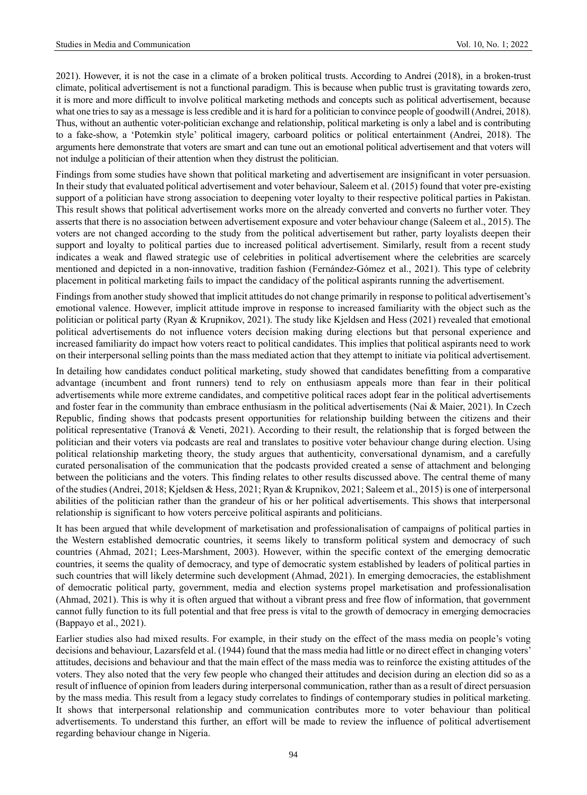2021). However, it is not the case in a climate of a broken political trusts. According to Andrei (2018), in a broken-trust climate, political advertisement is not a functional paradigm. This is because when public trust is gravitating towards zero, it is more and more difficult to involve political marketing methods and concepts such as political advertisement, because what one tries to say as a message is less credible and it is hard for a politician to convince people of goodwill (Andrei, 2018). Thus, without an authentic voter-politician exchange and relationship, political marketing is only a label and is contributing to a fake-show, a 'Potemkin style' political imagery, carboard politics or political entertainment (Andrei, 2018). The arguments here demonstrate that voters are smart and can tune out an emotional political advertisement and that voters will not indulge a politician of their attention when they distrust the politician.

Findings from some studies have shown that political marketing and advertisement are insignificant in voter persuasion. In their study that evaluated political advertisement and voter behaviour, Saleem et al. (2015) found that voter pre-existing support of a politician have strong association to deepening voter loyalty to their respective political parties in Pakistan. This result shows that political advertisement works more on the already converted and converts no further voter. They asserts that there is no association between advertisement exposure and voter behaviour change (Saleem et al., 2015). The voters are not changed according to the study from the political advertisement but rather, party loyalists deepen their support and loyalty to political parties due to increased political advertisement. Similarly, result from a recent study indicates a weak and flawed strategic use of celebrities in political advertisement where the celebrities are scarcely mentioned and depicted in a non-innovative, tradition fashion (Fernández-Gómez et al., 2021). This type of celebrity placement in political marketing fails to impact the candidacy of the political aspirants running the advertisement.

Findings from another study showed that implicit attitudes do not change primarily in response to political advertisement's emotional valence. However, implicit attitude improve in response to increased familiarity with the object such as the politician or political party (Ryan & Krupnikov, 2021). The study like Kjeldsen and Hess (2021) revealed that emotional political advertisements do not influence voters decision making during elections but that personal experience and increased familiarity do impact how voters react to political candidates. This implies that political aspirants need to work on their interpersonal selling points than the mass mediated action that they attempt to initiate via political advertisement.

In detailing how candidates conduct political marketing, study showed that candidates benefitting from a comparative advantage (incumbent and front runners) tend to rely on enthusiasm appeals more than fear in their political advertisements while more extreme candidates, and competitive political races adopt fear in the political advertisements and foster fear in the community than embrace enthusiasm in the political advertisements (Nai & Maier, 2021). In Czech Republic, finding shows that podcasts present opportunities for relationship building between the citizens and their political representative (Tranová & Veneti, 2021). According to their result, the relationship that is forged between the politician and their voters via podcasts are real and translates to positive voter behaviour change during election. Using political relationship marketing theory, the study argues that authenticity, conversational dynamism, and a carefully curated personalisation of the communication that the podcasts provided created a sense of attachment and belonging between the politicians and the voters. This finding relates to other results discussed above. The central theme of many of the studies (Andrei, 2018; Kjeldsen & Hess, 2021; Ryan & Krupnikov, 2021; Saleem et al., 2015) is one of interpersonal abilities of the politician rather than the grandeur of his or her political advertisements. This shows that interpersonal relationship is significant to how voters perceive political aspirants and politicians.

It has been argued that while development of marketisation and professionalisation of campaigns of political parties in the Western established democratic countries, it seems likely to transform political system and democracy of such countries (Ahmad, 2021; Lees-Marshment, 2003). However, within the specific context of the emerging democratic countries, it seems the quality of democracy, and type of democratic system established by leaders of political parties in such countries that will likely determine such development (Ahmad, 2021). In emerging democracies, the establishment of democratic political party, government, media and election systems propel marketisation and professionalisation (Ahmad, 2021). This is why it is often argued that without a vibrant press and free flow of information, that government cannot fully function to its full potential and that free press is vital to the growth of democracy in emerging democracies (Bappayo et al., 2021).

Earlier studies also had mixed results. For example, in their study on the effect of the mass media on people's voting decisions and behaviour, Lazarsfeld et al. (1944) found that the mass media had little or no direct effect in changing voters' attitudes, decisions and behaviour and that the main effect of the mass media was to reinforce the existing attitudes of the voters. They also noted that the very few people who changed their attitudes and decision during an election did so as a result of influence of opinion from leaders during interpersonal communication, rather than as a result of direct persuasion by the mass media. This result from a legacy study correlates to findings of contemporary studies in political marketing. It shows that interpersonal relationship and communication contributes more to voter behaviour than political advertisements. To understand this further, an effort will be made to review the influence of political advertisement regarding behaviour change in Nigeria.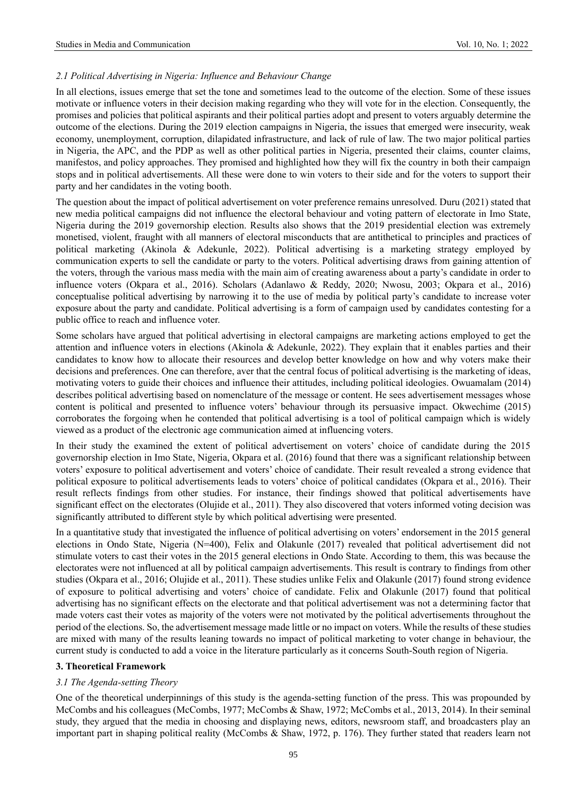# *2.1 Political Advertising in Nigeria: Influence and Behaviour Change*

In all elections, issues emerge that set the tone and sometimes lead to the outcome of the election. Some of these issues motivate or influence voters in their decision making regarding who they will vote for in the election. Consequently, the promises and policies that political aspirants and their political parties adopt and present to voters arguably determine the outcome of the elections. During the 2019 election campaigns in Nigeria, the issues that emerged were insecurity, weak economy, unemployment, corruption, dilapidated infrastructure, and lack of rule of law. The two major political parties in Nigeria, the APC, and the PDP as well as other political parties in Nigeria, presented their claims, counter claims, manifestos, and policy approaches. They promised and highlighted how they will fix the country in both their campaign stops and in political advertisements. All these were done to win voters to their side and for the voters to support their party and her candidates in the voting booth.

The question about the impact of political advertisement on voter preference remains unresolved. Duru (2021) stated that new media political campaigns did not influence the electoral behaviour and voting pattern of electorate in Imo State, Nigeria during the 2019 governorship election. Results also shows that the 2019 presidential election was extremely monetised, violent, fraught with all manners of electoral misconducts that are antithetical to principles and practices of political marketing (Akinola & Adekunle, 2022). Political advertising is a marketing strategy employed by communication experts to sell the candidate or party to the voters. Political advertising draws from gaining attention of the voters, through the various mass media with the main aim of creating awareness about a party's candidate in order to influence voters (Okpara et al., 2016). Scholars (Adanlawo & Reddy, 2020; Nwosu, 2003; Okpara et al., 2016) conceptualise political advertising by narrowing it to the use of media by political party's candidate to increase voter exposure about the party and candidate. Political advertising is a form of campaign used by candidates contesting for a public office to reach and influence voter.

Some scholars have argued that political advertising in electoral campaigns are marketing actions employed to get the attention and influence voters in elections (Akinola & Adekunle, 2022). They explain that it enables parties and their candidates to know how to allocate their resources and develop better knowledge on how and why voters make their decisions and preferences. One can therefore, aver that the central focus of political advertising is the marketing of ideas, motivating voters to guide their choices and influence their attitudes, including political ideologies. Owuamalam (2014) describes political advertising based on nomenclature of the message or content. He sees advertisement messages whose content is political and presented to influence voters' behaviour through its persuasive impact. Okwechime (2015) corroborates the forgoing when he contended that political advertising is a tool of political campaign which is widely viewed as a product of the electronic age communication aimed at influencing voters.

In their study the examined the extent of political advertisement on voters' choice of candidate during the 2015 governorship election in Imo State, Nigeria, Okpara et al. (2016) found that there was a significant relationship between voters' exposure to political advertisement and voters' choice of candidate. Their result revealed a strong evidence that political exposure to political advertisements leads to voters' choice of political candidates (Okpara et al., 2016). Their result reflects findings from other studies. For instance, their findings showed that political advertisements have significant effect on the electorates (Olujide et al., 2011). They also discovered that voters informed voting decision was significantly attributed to different style by which political advertising were presented.

In a quantitative study that investigated the influence of political advertising on voters' endorsement in the 2015 general elections in Ondo State, Nigeria (N=400), Felix and Olakunle (2017) revealed that political advertisement did not stimulate voters to cast their votes in the 2015 general elections in Ondo State. According to them, this was because the electorates were not influenced at all by political campaign advertisements. This result is contrary to findings from other studies (Okpara et al., 2016; Olujide et al., 2011). These studies unlike Felix and Olakunle (2017) found strong evidence of exposure to political advertising and voters' choice of candidate. Felix and Olakunle (2017) found that political advertising has no significant effects on the electorate and that political advertisement was not a determining factor that made voters cast their votes as majority of the voters were not motivated by the political advertisements throughout the period of the elections. So, the advertisement message made little or no impact on voters. While the results of these studies are mixed with many of the results leaning towards no impact of political marketing to voter change in behaviour, the current study is conducted to add a voice in the literature particularly as it concerns South-South region of Nigeria.

## **3. Theoretical Framework**

## *3.1 The Agenda-setting Theory*

One of the theoretical underpinnings of this study is the agenda-setting function of the press. This was propounded by McCombs and his colleagues (McCombs, 1977; McCombs & Shaw, 1972; McCombs et al., 2013, 2014). In their seminal study, they argued that the media in choosing and displaying news, editors, newsroom staff, and broadcasters play an important part in shaping political reality (McCombs & Shaw, 1972, p. 176). They further stated that readers learn not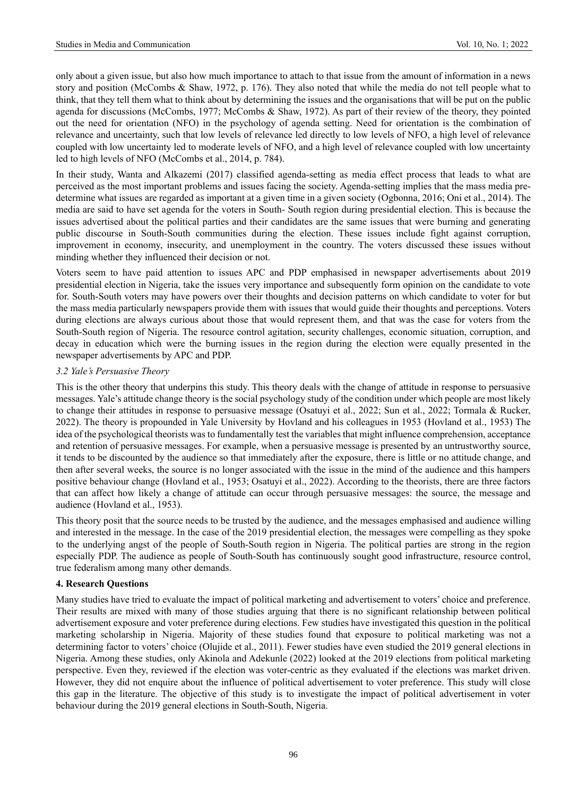only about a given issue, but also how much importance to attach to that issue from the amount of information in a news story and position (McCombs & Shaw, 1972, p. 176). They also noted that while the media do not tell people what to think, that they tell them what to think about by determining the issues and the organisations that will be put on the public agenda for discussions (McCombs, 1977; McCombs & Shaw, 1972). As part of their review of the theory, they pointed out the need for orientation (NFO) in the psychology of agenda setting. Need for orientation is the combination of relevance and uncertainty, such that low levels of relevance led directly to low levels of NFO, a high level of relevance coupled with low uncertainty led to moderate levels of NFO, and a high level of relevance coupled with low uncertainty led to high levels of NFO (McCombs et al., 2014, p. 784).

In their study, Wanta and Alkazemi (2017) classified agenda-setting as media effect process that leads to what are perceived as the most important problems and issues facing the society. Agenda-setting implies that the mass media predetermine what issues are regarded as important at a given time in a given society (Ogbonna, 2016; Oni et al., 2014). The media are said to have set agenda for the voters in South- South region during presidential election. This is because the issues advertised about the political parties and their candidates are the same issues that were burning and generating public discourse in South-South communities during the election. These issues include fight against corruption, improvement in economy, insecurity, and unemployment in the country. The voters discussed these issues without minding whether they influenced their decision or not.

Voters seem to have paid attention to issues APC and PDP emphasised in newspaper advertisements about 2019 presidential election in Nigeria, take the issues very importance and subsequently form opinion on the candidate to vote for. South-South voters may have powers over their thoughts and decision patterns on which candidate to voter for but the mass media particularly newspapers provide them with issues that would guide their thoughts and perceptions. Voters during elections are always curious about those that would represent them, and that was the case for voters from the South-South region of Nigeria. The resource control agitation, security challenges, economic situation, corruption, and decay in education which were the burning issues in the region during the election were equally presented in the newspaper advertisements by APC and PDP.

## *3.2 Yale's Persuasive Theory*

This is the other theory that underpins this study. This theory deals with the change of attitude in response to persuasive messages. Yale's attitude change theory is the social psychology study of the condition under which people are most likely to change their attitudes in response to persuasive message (Osatuyi et al., 2022; Sun et al., 2022; Tormala & Rucker, 2022). The theory is propounded in Yale University by Hovland and his colleagues in 1953 (Hovland et al., 1953) The idea of the psychological theorists was to fundamentally test the variables that might influence comprehension, acceptance and retention of persuasive messages. For example, when a persuasive message is presented by an untrustworthy source, it tends to be discounted by the audience so that immediately after the exposure, there is little or no attitude change, and then after several weeks, the source is no longer associated with the issue in the mind of the audience and this hampers positive behaviour change (Hovland et al., 1953; Osatuyi et al., 2022). According to the theorists, there are three factors that can affect how likely a change of attitude can occur through persuasive messages: the source, the message and audience (Hovland et al., 1953).

This theory posit that the source needs to be trusted by the audience, and the messages emphasised and audience willing and interested in the message. In the case of the 2019 presidential election, the messages were compelling as they spoke to the underlying angst of the people of South-South region in Nigeria. The political parties are strong in the region especially PDP. The audience as people of South-South has continuously sought good infrastructure, resource control, true federalism among many other demands.

## **4. Research Questions**

Many studies have tried to evaluate the impact of political marketing and advertisement to voters' choice and preference. Their results are mixed with many of those studies arguing that there is no significant relationship between political advertisement exposure and voter preference during elections. Few studies have investigated this question in the political marketing scholarship in Nigeria. Majority of these studies found that exposure to political marketing was not a determining factor to voters' choice (Olujide et al., 2011). Fewer studies have even studied the 2019 general elections in Nigeria. Among these studies, only Akinola and Adekunle (2022) looked at the 2019 elections from political marketing perspective. Even they, reviewed if the election was voter-centric as they evaluated if the elections was market driven. However, they did not enquire about the influence of political advertisement to voter preference. This study will close this gap in the literature. The objective of this study is to investigate the impact of political advertisement in voter behaviour during the 2019 general elections in South-South, Nigeria.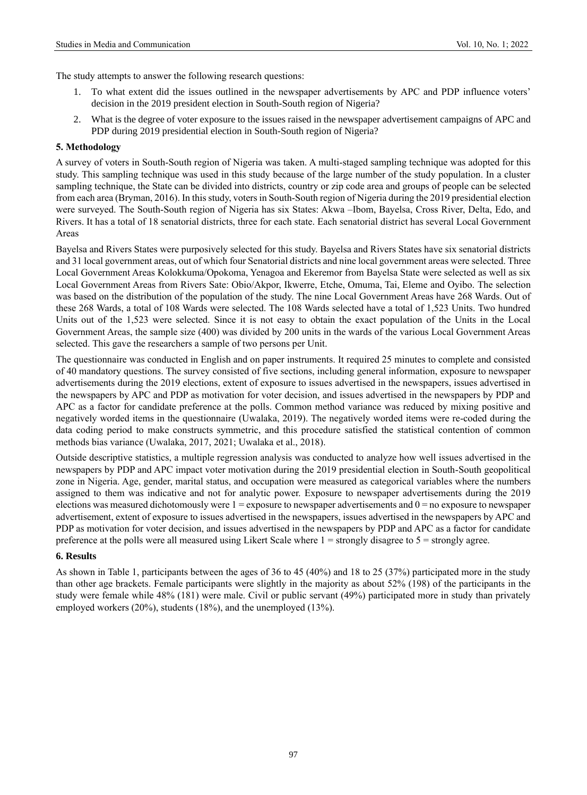The study attempts to answer the following research questions:

- 1. To what extent did the issues outlined in the newspaper advertisements by APC and PDP influence voters' decision in the 2019 president election in South-South region of Nigeria?
- 2. What is the degree of voter exposure to the issues raised in the newspaper advertisement campaigns of APC and PDP during 2019 presidential election in South-South region of Nigeria?

#### **5. Methodology**

A survey of voters in South-South region of Nigeria was taken. A multi-staged sampling technique was adopted for this study. This sampling technique was used in this study because of the large number of the study population. In a cluster sampling technique, the State can be divided into districts, country or zip code area and groups of people can be selected from each area (Bryman, 2016). In this study, voters in South-South region of Nigeria during the 2019 presidential election were surveyed. The South-South region of Nigeria has six States: Akwa –Ibom, Bayelsa, Cross River, Delta, Edo, and Rivers. It has a total of 18 senatorial districts, three for each state. Each senatorial district has several Local Government Areas

Bayelsa and Rivers States were purposively selected for this study. Bayelsa and Rivers States have six senatorial districts and 31 local government areas, out of which four Senatorial districts and nine local government areas were selected. Three Local Government Areas Kolokkuma/Opokoma, Yenagoa and Ekeremor from Bayelsa State were selected as well as six Local Government Areas from Rivers Sate: Obio/Akpor, Ikwerre, Etche, Omuma, Tai, Eleme and Oyibo. The selection was based on the distribution of the population of the study. The nine Local Government Areas have 268 Wards. Out of these 268 Wards, a total of 108 Wards were selected. The 108 Wards selected have a total of 1,523 Units. Two hundred Units out of the 1,523 were selected. Since it is not easy to obtain the exact population of the Units in the Local Government Areas, the sample size (400) was divided by 200 units in the wards of the various Local Government Areas selected. This gave the researchers a sample of two persons per Unit.

The questionnaire was conducted in English and on paper instruments. It required 25 minutes to complete and consisted of 40 mandatory questions. The survey consisted of five sections, including general information, exposure to newspaper advertisements during the 2019 elections, extent of exposure to issues advertised in the newspapers, issues advertised in the newspapers by APC and PDP as motivation for voter decision, and issues advertised in the newspapers by PDP and APC as a factor for candidate preference at the polls. Common method variance was reduced by mixing positive and negatively worded items in the questionnaire (Uwalaka, 2019). The negatively worded items were re-coded during the data coding period to make constructs symmetric, and this procedure satisfied the statistical contention of common methods bias variance (Uwalaka, 2017, 2021; Uwalaka et al., 2018).

Outside descriptive statistics, a multiple regression analysis was conducted to analyze how well issues advertised in the newspapers by PDP and APC impact voter motivation during the 2019 presidential election in South-South geopolitical zone in Nigeria. Age, gender, marital status, and occupation were measured as categorical variables where the numbers assigned to them was indicative and not for analytic power. Exposure to newspaper advertisements during the 2019 elections was measured dichotomously were  $1 =$  exposure to newspaper advertisements and  $0 =$  no exposure to newspaper advertisement, extent of exposure to issues advertised in the newspapers, issues advertised in the newspapers by APC and PDP as motivation for voter decision, and issues advertised in the newspapers by PDP and APC as a factor for candidate preference at the polls were all measured using Likert Scale where 1 = strongly disagree to 5 = strongly agree.

#### **6. Results**

As shown in Table 1, participants between the ages of 36 to 45 (40%) and 18 to 25 (37%) participated more in the study than other age brackets. Female participants were slightly in the majority as about 52% (198) of the participants in the study were female while 48% (181) were male. Civil or public servant (49%) participated more in study than privately employed workers (20%), students (18%), and the unemployed (13%).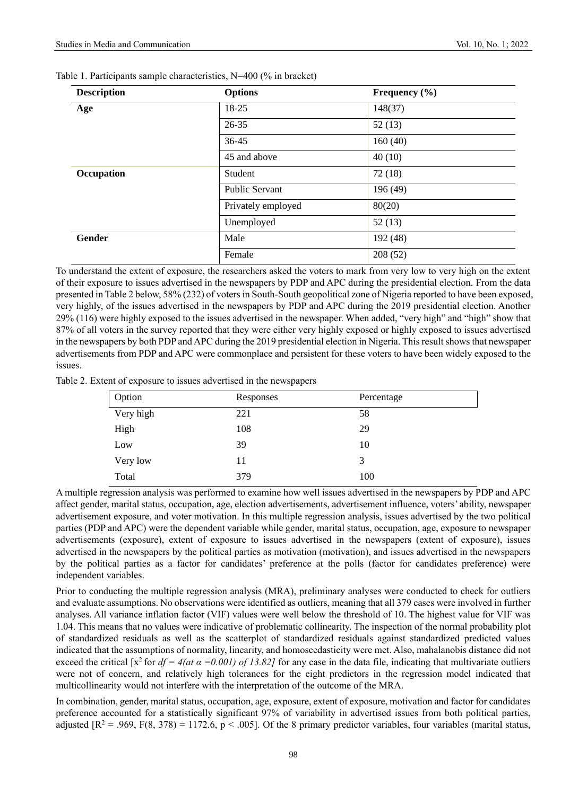| <b>Description</b> | <b>Options</b>        | Frequency $(\% )$ |  |  |
|--------------------|-----------------------|-------------------|--|--|
| Age                | 18-25                 | 148(37)           |  |  |
|                    | 26-35                 | 52(13)            |  |  |
|                    | 36-45                 | 160(40)           |  |  |
|                    | 45 and above          | 40(10)            |  |  |
| Occupation         | Student               | 72(18)            |  |  |
|                    | <b>Public Servant</b> | 196 (49)          |  |  |
|                    | Privately employed    | 80(20)            |  |  |
|                    | Unemployed            | 52(13)            |  |  |
| <b>Gender</b>      | Male                  | 192 (48)          |  |  |
|                    | Female                | 208 (52)          |  |  |

|  |  |  | Table 1. Participants sample characteristics, N=400 (% in bracket) |  |  |
|--|--|--|--------------------------------------------------------------------|--|--|
|--|--|--|--------------------------------------------------------------------|--|--|

To understand the extent of exposure, the researchers asked the voters to mark from very low to very high on the extent of their exposure to issues advertised in the newspapers by PDP and APC during the presidential election. From the data presented in Table 2 below, 58% (232) of voters in South-South geopolitical zone of Nigeria reported to have been exposed, very highly, of the issues advertised in the newspapers by PDP and APC during the 2019 presidential election. Another 29% (116) were highly exposed to the issues advertised in the newspaper. When added, "very high" and "high" show that 87% of all voters in the survey reported that they were either very highly exposed or highly exposed to issues advertised in the newspapers by both PDP and APC during the 2019 presidential election in Nigeria. This result shows that newspaper advertisements from PDP and APC were commonplace and persistent for these voters to have been widely exposed to the issues.

Table 2. Extent of exposure to issues advertised in the newspapers

| Option    | Responses | Percentage |
|-----------|-----------|------------|
| Very high | 221       | 58         |
| High      | 108       | 29         |
| Low       | 39        | 10         |
| Very low  | 11        | 3          |
| Total     | 379       | 100        |

A multiple regression analysis was performed to examine how well issues advertised in the newspapers by PDP and APC affect gender, marital status, occupation, age, election advertisements, advertisement influence, voters' ability, newspaper advertisement exposure, and voter motivation. In this multiple regression analysis, issues advertised by the two political parties (PDP and APC) were the dependent variable while gender, marital status, occupation, age, exposure to newspaper advertisements (exposure), extent of exposure to issues advertised in the newspapers (extent of exposure), issues advertised in the newspapers by the political parties as motivation (motivation), and issues advertised in the newspapers by the political parties as a factor for candidates' preference at the polls (factor for candidates preference) were independent variables.

Prior to conducting the multiple regression analysis (MRA), preliminary analyses were conducted to check for outliers and evaluate assumptions. No observations were identified as outliers, meaning that all 379 cases were involved in further analyses. All variance inflation factor (VIF) values were well below the threshold of 10. The highest value for VIF was 1.04. This means that no values were indicative of problematic collinearity. The inspection of the normal probability plot of standardized residuals as well as the scatterplot of standardized residuals against standardized predicted values indicated that the assumptions of normality, linearity, and homoscedasticity were met. Also, mahalanobis distance did not exceed the critical [x<sup>2</sup> for  $df = 4(at \alpha = 0.001)$  of 13.82] for any case in the data file, indicating that multivariate outliers were not of concern, and relatively high tolerances for the eight predictors in the regression model indicated that multicollinearity would not interfere with the interpretation of the outcome of the MRA.

In combination, gender, marital status, occupation, age, exposure, extent of exposure, motivation and factor for candidates preference accounted for a statistically significant 97% of variability in advertised issues from both political parties, adjusted  $\mathbb{R}^2 = .969$ ,  $F(8, 378) = 1172.6$ , p < .005]. Of the 8 primary predictor variables, four variables (marital status,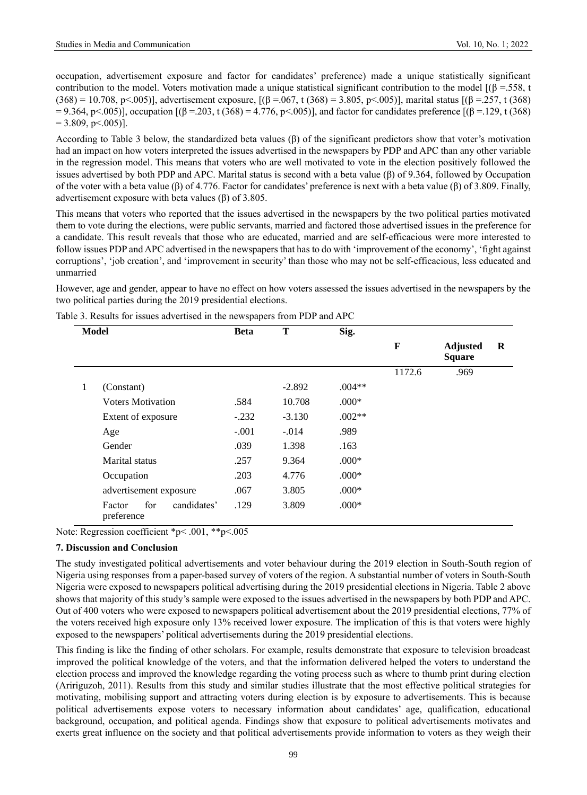occupation, advertisement exposure and factor for candidates' preference) made a unique statistically significant contribution to the model. Voters motivation made a unique statistical significant contribution to the model  $[(\beta = 558, t$ (368) = 10.708, p<.005)], advertisement exposure,  $[(\beta = .067, t (368) = 3.805, p < .005)]$ , marital status  $[(\beta = .257, t (368)$  $= 9.364$ , p<.005)], occupation  $[(β = .203, t (368) = 4.776, p < .005)]$ , and factor for candidates preference  $[(β = .129, t (368) = .005)]$  $= 3.809$ , p  $\leq 0.005$ ].

According to Table 3 below, the standardized beta values  $(\beta)$  of the significant predictors show that voter's motivation had an impact on how voters interpreted the issues advertised in the newspapers by PDP and APC than any other variable in the regression model. This means that voters who are well motivated to vote in the election positively followed the issues advertised by both PDP and APC. Marital status is second with a beta value (β) of 9.364, followed by Occupation of the voter with a beta value (β) of 4.776. Factor for candidates' preference is next with a beta value (β) of 3.809. Finally, advertisement exposure with beta values (β) of 3.805.

This means that voters who reported that the issues advertised in the newspapers by the two political parties motivated them to vote during the elections, were public servants, married and factored those advertised issues in the preference for a candidate. This result reveals that those who are educated, married and are self-efficacious were more interested to follow issues PDP and APC advertised in the newspapers that has to do with 'improvement of the economy', 'fight against corruptions', 'job creation', and 'improvement in security' than those who may not be self-efficacious, less educated and unmarried

However, age and gender, appear to have no effect on how voters assessed the issues advertised in the newspapers by the two political parties during the 2019 presidential elections.

|   | Model                                      | <b>Beta</b> | T        | Sig.     |        |                                  |   |
|---|--------------------------------------------|-------------|----------|----------|--------|----------------------------------|---|
|   |                                            |             |          |          | F      | <b>Adjusted</b><br><b>Square</b> | R |
|   |                                            |             |          |          | 1172.6 | .969                             |   |
| 1 | (Constant)                                 |             | $-2.892$ | $.004**$ |        |                                  |   |
|   | <b>Voters Motivation</b>                   | .584        | 10.708   | $.000*$  |        |                                  |   |
|   | Extent of exposure                         | $-.232$     | $-3.130$ | $.002**$ |        |                                  |   |
|   | Age                                        | $-.001$     | $-.014$  | .989     |        |                                  |   |
|   | Gender                                     | .039        | 1.398    | .163     |        |                                  |   |
|   | Marital status                             | .257        | 9.364    | $.000*$  |        |                                  |   |
|   | Occupation                                 | .203        | 4.776    | $.000*$  |        |                                  |   |
|   | advertisement exposure                     | .067        | 3.805    | $.000*$  |        |                                  |   |
|   | for<br>candidates'<br>Factor<br>preference | .129        | 3.809    | $.000*$  |        |                                  |   |

Table 3. Results for issues advertised in the newspapers from PDP and APC

Note: Regression coefficient \*p< .001, \*\*p<.005

## **7. Discussion and Conclusion**

The study investigated political advertisements and voter behaviour during the 2019 election in South-South region of Nigeria using responses from a paper-based survey of voters of the region. A substantial number of voters in South-South Nigeria were exposed to newspapers political advertising during the 2019 presidential elections in Nigeria. Table 2 above shows that majority of this study's sample were exposed to the issues advertised in the newspapers by both PDP and APC. Out of 400 voters who were exposed to newspapers political advertisement about the 2019 presidential elections, 77% of the voters received high exposure only 13% received lower exposure. The implication of this is that voters were highly exposed to the newspapers' political advertisements during the 2019 presidential elections.

This finding is like the finding of other scholars. For example, results demonstrate that exposure to television broadcast improved the political knowledge of the voters, and that the information delivered helped the voters to understand the election process and improved the knowledge regarding the voting process such as where to thumb print during election (Aririguzoh, 2011). Results from this study and similar studies illustrate that the most effective political strategies for motivating, mobilising support and attracting voters during election is by exposure to advertisements. This is because political advertisements expose voters to necessary information about candidates' age, qualification, educational background, occupation, and political agenda. Findings show that exposure to political advertisements motivates and exerts great influence on the society and that political advertisements provide information to voters as they weigh their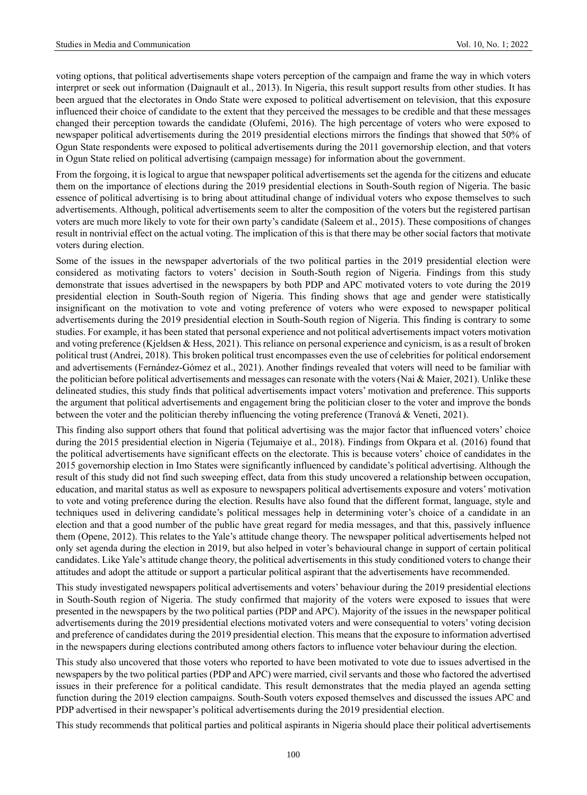voting options, that political advertisements shape voters perception of the campaign and frame the way in which voters interpret or seek out information (Daignault et al., 2013). In Nigeria, this result support results from other studies. It has been argued that the electorates in Ondo State were exposed to political advertisement on television, that this exposure influenced their choice of candidate to the extent that they perceived the messages to be credible and that these messages changed their perception towards the candidate (Olufemi, 2016). The high percentage of voters who were exposed to newspaper political advertisements during the 2019 presidential elections mirrors the findings that showed that 50% of Ogun State respondents were exposed to political advertisements during the 2011 governorship election, and that voters in Ogun State relied on political advertising (campaign message) for information about the government.

From the forgoing, it is logical to argue that newspaper political advertisements set the agenda for the citizens and educate them on the importance of elections during the 2019 presidential elections in South-South region of Nigeria. The basic essence of political advertising is to bring about attitudinal change of individual voters who expose themselves to such advertisements. Although, political advertisements seem to alter the composition of the voters but the registered partisan voters are much more likely to vote for their own party's candidate (Saleem et al., 2015). These compositions of changes result in nontrivial effect on the actual voting. The implication of this is that there may be other social factors that motivate voters during election.

Some of the issues in the newspaper advertorials of the two political parties in the 2019 presidential election were considered as motivating factors to voters' decision in South-South region of Nigeria. Findings from this study demonstrate that issues advertised in the newspapers by both PDP and APC motivated voters to vote during the 2019 presidential election in South-South region of Nigeria. This finding shows that age and gender were statistically insignificant on the motivation to vote and voting preference of voters who were exposed to newspaper political advertisements during the 2019 presidential election in South-South region of Nigeria. This finding is contrary to some studies. For example, it has been stated that personal experience and not political advertisements impact voters motivation and voting preference (Kjeldsen & Hess, 2021). This reliance on personal experience and cynicism, is as a result of broken political trust (Andrei, 2018). This broken political trust encompasses even the use of celebrities for political endorsement and advertisements (Fernández-Gómez et al., 2021). Another findings revealed that voters will need to be familiar with the politician before political advertisements and messages can resonate with the voters (Nai & Maier, 2021). Unlike these delineated studies, this study finds that political advertisements impact voters' motivation and preference. This supports the argument that political advertisements and engagement bring the politician closer to the voter and improve the bonds between the voter and the politician thereby influencing the voting preference (Tranová & Veneti, 2021).

This finding also support others that found that political advertising was the major factor that influenced voters' choice during the 2015 presidential election in Nigeria (Tejumaiye et al., 2018). Findings from Okpara et al. (2016) found that the political advertisements have significant effects on the electorate. This is because voters' choice of candidates in the 2015 governorship election in Imo States were significantly influenced by candidate's political advertising. Although the result of this study did not find such sweeping effect, data from this study uncovered a relationship between occupation, education, and marital status as well as exposure to newspapers political advertisements exposure and voters' motivation to vote and voting preference during the election. Results have also found that the different format, language, style and techniques used in delivering candidate's political messages help in determining voter's choice of a candidate in an election and that a good number of the public have great regard for media messages, and that this, passively influence them (Opene, 2012). This relates to the Yale's attitude change theory. The newspaper political advertisements helped not only set agenda during the election in 2019, but also helped in voter's behavioural change in support of certain political candidates. Like Yale's attitude change theory, the political advertisements in this study conditioned voters to change their attitudes and adopt the attitude or support a particular political aspirant that the advertisements have recommended.

This study investigated newspapers political advertisements and voters' behaviour during the 2019 presidential elections in South-South region of Nigeria. The study confirmed that majority of the voters were exposed to issues that were presented in the newspapers by the two political parties (PDP and APC). Majority of the issues in the newspaper political advertisements during the 2019 presidential elections motivated voters and were consequential to voters' voting decision and preference of candidates during the 2019 presidential election. This means that the exposure to information advertised in the newspapers during elections contributed among others factors to influence voter behaviour during the election.

This study also uncovered that those voters who reported to have been motivated to vote due to issues advertised in the newspapers by the two political parties (PDP and APC) were married, civil servants and those who factored the advertised issues in their preference for a political candidate. This result demonstrates that the media played an agenda setting function during the 2019 election campaigns. South-South voters exposed themselves and discussed the issues APC and PDP advertised in their newspaper's political advertisements during the 2019 presidential election.

This study recommends that political parties and political aspirants in Nigeria should place their political advertisements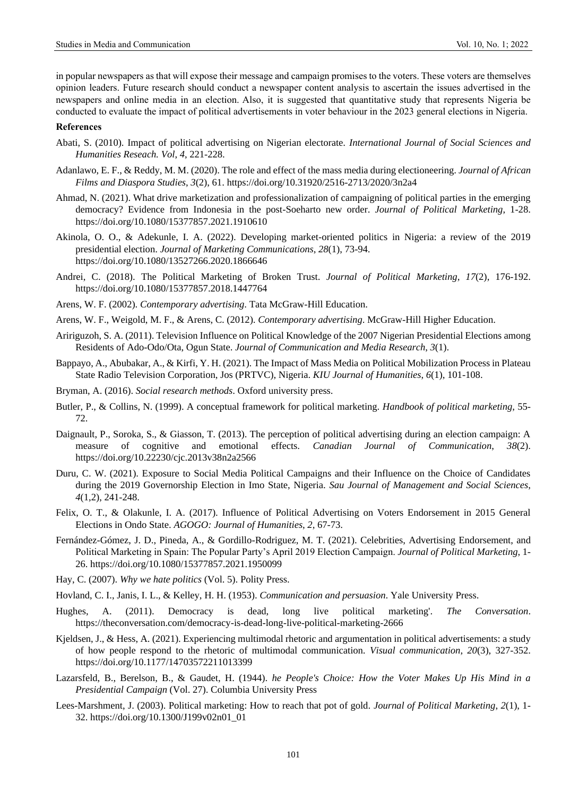in popular newspapers as that will expose their message and campaign promises to the voters. These voters are themselves opinion leaders. Future research should conduct a newspaper content analysis to ascertain the issues advertised in the newspapers and online media in an election. Also, it is suggested that quantitative study that represents Nigeria be conducted to evaluate the impact of political advertisements in voter behaviour in the 2023 general elections in Nigeria.

#### **References**

- Abati, S. (2010). Impact of political advertising on Nigerian electorate. *International Journal of Social Sciences and Humanities Reseach. Vol*, *4*, 221-228.
- Adanlawo, E. F., & Reddy, M. M. (2020). The role and effect of the mass media during electioneering. *Journal of African Films and Diaspora Studies*, *3*(2), 61.<https://doi.org/10.31920/2516-2713/2020/3n2a4>
- Ahmad, N. (2021). What drive marketization and professionalization of campaigning of political parties in the emerging democracy? Evidence from Indonesia in the post-Soeharto new order. *Journal of Political Marketing*, 1-28. <https://doi.org/10.1080/15377857.2021.1910610>
- Akinola, O. O., & Adekunle, I. A. (2022). Developing market-oriented politics in Nigeria: a review of the 2019 presidential election. *Journal of Marketing Communications*, *28*(1), 73-94. https://doi.org/10.1080/13527266.2020.1866646
- Andrei, C. (2018). The Political Marketing of Broken Trust. *Journal of Political Marketing*, *17*(2), 176-192. <https://doi.org/10.1080/15377857.2018.1447764>
- Arens, W. F. (2002). *Contemporary advertising*. Tata McGraw-Hill Education.
- Arens, W. F., Weigold, M. F., & Arens, C. (2012). *Contemporary advertising*. McGraw-Hill Higher Education.
- Aririguzoh, S. A. (2011). Television Influence on Political Knowledge of the 2007 Nigerian Presidential Elections among Residents of Ado-Odo/Ota, Ogun State. *Journal of Communication and Media Research*, *3*(1).
- Bappayo, A., Abubakar, A., & Kirfi, Y. H. (2021). The Impact of Mass Media on Political Mobilization Process in Plateau State Radio Television Corporation, Jos (PRTVC), Nigeria. *KIU Journal of Humanities*, *6*(1), 101-108.
- Bryman, A. (2016). *Social research methods*. Oxford university press.
- Butler, P., & Collins, N. (1999). A conceptual framework for political marketing. *Handbook of political marketing*, 55- 72.
- Daignault, P., Soroka, S., & Giasson, T. (2013). The perception of political advertising during an election campaign: A measure of cognitive and emotional effects. *Canadian Journal of Communication*, *38*(2). <https://doi.org/10.22230/cjc.2013v38n2a2566>
- Duru, C. W. (2021). Exposure to Social Media Political Campaigns and their Influence on the Choice of Candidates during the 2019 Governorship Election in Imo State, Nigeria. *Sau Journal of Management and Social Sciences*, *4*(1,2), 241-248.
- Felix, O. T., & Olakunle, I. A. (2017). Influence of Political Advertising on Voters Endorsement in 2015 General Elections in Ondo State. *AGOGO: Journal of Humanities*, *2*, 67-73.
- Fernández-Gómez, J. D., Pineda, A., & Gordillo-Rodriguez, M. T. (2021). Celebrities, Advertising Endorsement, and Political Marketing in Spain: The Popular Party's April 2019 Election Campaign. *Journal of Political Marketing*, 1- 26[. https://doi.org/10.1080/15377857.2021.1950099](https://doi.org/10.1080/15377857.2021.1950099)
- Hay, C. (2007). *Why we hate politics* (Vol. 5). Polity Press.
- Hovland, C. I., Janis, I. L., & Kelley, H. H. (1953). *Communication and persuasion*. Yale University Press.
- Hughes, A. (2011). Democracy is dead, long live political marketing'. *The Conversation*. https://theconversation.com/democracy-is-dead-long-live-political-marketing-2666
- Kjeldsen, J., & Hess, A. (2021). Experiencing multimodal rhetoric and argumentation in political advertisements: a study of how people respond to the rhetoric of multimodal communication. *Visual communication*, *20*(3), 327-352. <https://doi.org/10.1177/14703572211013399>
- Lazarsfeld, B., Berelson, B., & Gaudet, H. (1944). *he People's Choice: How the Voter Makes Up His Mind in a Presidential Campaign* (Vol. 27). Columbia University Press
- Lees-Marshment, J. (2003). Political marketing: How to reach that pot of gold. *Journal of Political Marketing*, *2*(1), 1- 32[. https://doi.org/10.1300/J199v02n01\\_01](https://doi.org/10.1300/J199v02n01_01)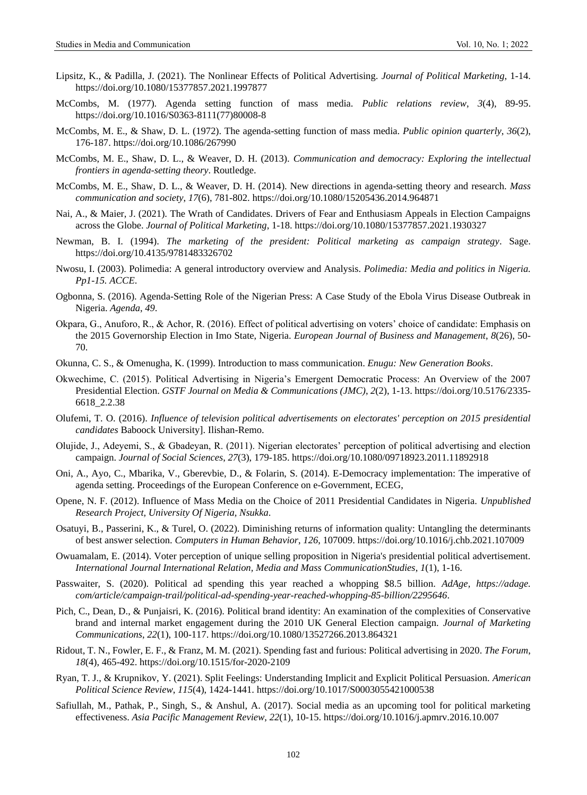- Lipsitz, K., & Padilla, J. (2021). The Nonlinear Effects of Political Advertising. *Journal of Political Marketing*, 1-14. <https://doi.org/10.1080/15377857.2021.1997877>
- McCombs, M. (1977). Agenda setting function of mass media. *Public relations review*, *3*(4), 89-95. [https://doi.org/10.1016/S0363-8111\(77\)80008-8](https://doi.org/10.1016/S0363-8111(77)80008-8)
- McCombs, M. E., & Shaw, D. L. (1972). The agenda-setting function of mass media. *Public opinion quarterly*, *36*(2), 176-187.<https://doi.org/10.1086/267990>
- McCombs, M. E., Shaw, D. L., & Weaver, D. H. (2013). *Communication and democracy: Exploring the intellectual frontiers in agenda-setting theory*. Routledge.
- McCombs, M. E., Shaw, D. L., & Weaver, D. H. (2014). New directions in agenda-setting theory and research. *Mass communication and society*, *17*(6), 781-802.<https://doi.org/10.1080/15205436.2014.964871>
- Nai, A., & Maier, J. (2021). The Wrath of Candidates. Drivers of Fear and Enthusiasm Appeals in Election Campaigns across the Globe. *Journal of Political Marketing*, 1-18.<https://doi.org/10.1080/15377857.2021.1930327>
- Newman, B. I. (1994). *The marketing of the president: Political marketing as campaign strategy*. Sage. <https://doi.org/10.4135/9781483326702>
- Nwosu, I. (2003). Polimedia: A general introductory overview and Analysis. *Polimedia: Media and politics in Nigeria. Pp1-15. ACCE*.
- Ogbonna, S. (2016). Agenda-Setting Role of the Nigerian Press: A Case Study of the Ebola Virus Disease Outbreak in Nigeria. *Agenda*, *49*.
- Okpara, G., Anuforo, R., & Achor, R. (2016). Effect of political advertising on voters' choice of candidate: Emphasis on the 2015 Governorship Election in Imo State, Nigeria. *European Journal of Business and Management*, *8*(26), 50- 70.
- Okunna, C. S., & Omenugha, K. (1999). Introduction to mass communication. *Enugu: New Generation Books*.
- Okwechime, C. (2015). Political Advertising in Nigeria's Emergent Democratic Process: An Overview of the 2007 Presidential Election. *GSTF Journal on Media & Communications (JMC)*, *2*(2), 1-13. [https://doi.org/10.5176/2335-](https://doi.org/10.5176/2335-6618_2.2.38) [6618\\_2.2.38](https://doi.org/10.5176/2335-6618_2.2.38)
- Olufemi, T. O. (2016). *Influence of television political advertisements on electorates' perception on 2015 presidential candidates* Baboock University]. Ilishan-Remo.
- Olujide, J., Adeyemi, S., & Gbadeyan, R. (2011). Nigerian electorates' perception of political advertising and election campaign. *Journal of Social Sciences*, *27*(3), 179-185.<https://doi.org/10.1080/09718923.2011.11892918>
- Oni, A., Ayo, C., Mbarika, V., Gberevbie, D., & Folarin, S. (2014). E-Democracy implementation: The imperative of agenda setting. Proceedings of the European Conference on e-Government, ECEG,
- Opene, N. F. (2012). Influence of Mass Media on the Choice of 2011 Presidential Candidates in Nigeria. *Unpublished Research Project, University Of Nigeria, Nsukka*.
- Osatuyi, B., Passerini, K., & Turel, O. (2022). Diminishing returns of information quality: Untangling the determinants of best answer selection. *Computers in Human Behavior*, *126*, 107009.<https://doi.org/10.1016/j.chb.2021.107009>
- Owuamalam, E. (2014). Voter perception of unique selling proposition in Nigeria's presidential political advertisement. *International Journal International Relation, Media and Mass CommunicationStudies*, *1*(1), 1-16.
- Passwaiter, S. (2020). Political ad spending this year reached a whopping \$8.5 billion. *AdAge, https://adage. com/article/campaign-trail/political-ad-spending-year-reached-whopping-85-billion/2295646*.
- Pich, C., Dean, D., & Punjaisri, K. (2016). Political brand identity: An examination of the complexities of Conservative brand and internal market engagement during the 2010 UK General Election campaign. *Journal of Marketing Communications*, *22*(1), 100-117.<https://doi.org/10.1080/13527266.2013.864321>
- Ridout, T. N., Fowler, E. F., & Franz, M. M. (2021). Spending fast and furious: Political advertising in 2020. *The Forum*, *18*(4), 465-492[. https://doi.org/10.1515/for-2020-2109](https://doi.org/10.1515/for-2020-2109)
- Ryan, T. J., & Krupnikov, Y. (2021). Split Feelings: Understanding Implicit and Explicit Political Persuasion. *American Political Science Review*, *115*(4), 1424-1441[. https://doi.org/10.1017/S0003055421000538](https://doi.org/10.1017/S0003055421000538)
- Safiullah, M., Pathak, P., Singh, S., & Anshul, A. (2017). Social media as an upcoming tool for political marketing effectiveness. *Asia Pacific Management Review*, *22*(1), 10-15[. https://doi.org/10.1016/j.apmrv.2016.10.007](https://doi.org/10.1016/j.apmrv.2016.10.007)